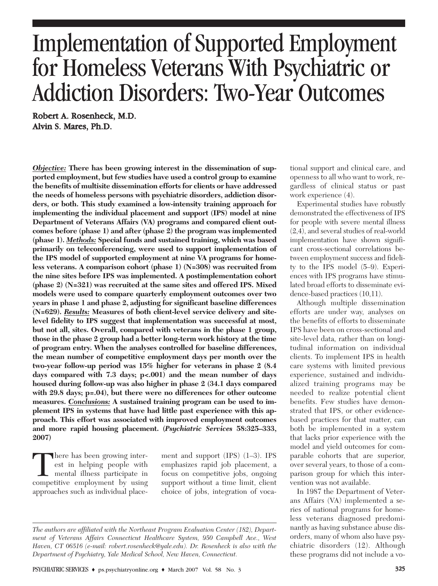# Implementation of Supported Employment for Homeless Veterans With Psychiatric or Addiction Disorders: Two-Year Outcomes

Robert A. Rosenheck, M.D. Alvin S. Mares, Ph.D.

*Objective:* **There has been growing interest in the dissemination of supported employment, but few studies have used a control group to examine the benefits of multisite dissemination efforts for clients or have addressed the needs of homeless persons with psychiatric disorders, addiction disorders, or both. This study examined a low-intensity training approach for implementing the individual placement and support (IPS) model at nine Department of Veterans Affairs (VA) programs and compared client outcomes before (phase 1) and after (phase 2) the program was implemented (phase 1).** *Methods:* **Special funds and sustained training, which was based primarily on teleconferencing, were used to support implementation of the IPS model of supported employment at nine VA programs for homeless veterans. A comparison cohort (phase 1) (N=308) was recruited from the nine sites before IPS was implemented. A postimplementation cohort (phase 2) (N=321) was recruited at the same sites and offered IPS. Mixed models were used to compare quarterly employment outcomes over two years in phase 1 and phase 2, adjusting for significant baseline differences (N=629).** *Results:* **Measures of both client-level service delivery and sitelevel fidelity to IPS suggest that implementation was successful at most, but not all, sites. Overall, compared with veterans in the phase 1 group, those in the phase 2 group had a better long-term work history at the time of program entry. When the analyses controlled for baseline differences, the mean number of competitive employment days per month over the two-year follow-up period was 15% higher for veterans in phase 2 (8.4 days compared with 7.3 days; p<.001) and the mean number of days housed during follow-up was also higher in phase 2 (34.1 days compared with 29.8 days; p=.04), but there were no differences for other outcome measures.** *Conclusions:* **A sustained training program can be used to implement IPS in systems that have had little past experience with this approach. This effort was associated with improved employment outcomes and more rapid housing placement. (***Psychiatric Services* **58:325–333, 2007)**

There has been growing inter-<br>est in helping people with<br>mental illness participate in<br>competitive employment by using est in helping people with mental illness participate in approaches such as individual place-

ment and support (IPS) (1–3). IPS emphasizes rapid job placement, a focus on competitive jobs, ongoing support without a time limit, client choice of jobs, integration of vocational support and clinical care, and openness to all who want to work, regardless of clinical status or past work experience (4).

Experimental studies have robustly demonstrated the effectiveness of IPS for people with severe mental illness (2,4), and several studies of real-world implementation have shown significant cross-sectional correlations between employment success and fidelity to the IPS model (5–9). Experiences with IPS programs have stimulated broad efforts to disseminate evidence-based practices (10,11).

Although multiple dissemination efforts are under way, analyses on the benefits of efforts to disseminate IPS have been on cross-sectional and site-level data, rather than on longitudinal information on individual clients. To implement IPS in health care systems with limited previous experience, sustained and individualized training programs may be needed to realize potential client benefits. Few studies have demonstrated that IPS, or other evidencebased practices for that matter, can both be implemented in a system that lacks prior experience with the model and yield outcomes for comparable cohorts that are superior, over several years, to those of a comparison group for which this intervention was not available.

In 1987 the Department of Veterans Affairs (VA) implemented a series of national programs for homeless veterans diagnosed predominantly as having substance abuse disorders, many of whom also have psychiatric disorders (12). Although these programs did not include a vo-

*The authors are affiliated with the Northeast Program Evaluation Center (182), Department of Veterans Affairs Connecticut Healthcare System, 950 Campbell Ave., West Haven, CT 06516 (e-mail: robert.rosenheck@yale.edu). Dr. Rosenheck is also with the Department of Psychiatry, Yale Medical School, New Haven, Connecticut.*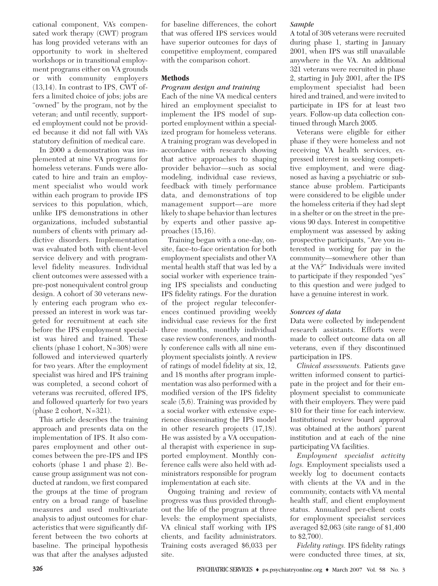cational component, VA's compensated work therapy (CWT) program has long provided veterans with an opportunity to work in sheltered workshops or in transitional employment programs either on VA grounds or with community employers (13,14). In contrast to IPS, CWT offers a limited choice of jobs; jobs are "owned" by the program, not by the veteran; and until recently, supported employment could not be provided because it did not fall with VA's statutory definition of medical care.

In 2000 a demonstration was implemented at nine VA programs for homeless veterans. Funds were allocated to hire and train an employment specialist who would work within each program to provide IPS services to this population, which, unlike IPS demonstrations in other organizations, included substantial numbers of clients with primary addictive disorders. Implementation was evaluated both with client-level service delivery and with programlevel fidelity measures. Individual client outcomes were assessed with a pre-post nonequivalent control group design. A cohort of 30 veterans newly entering each program who expressed an interest in work was targeted for recruitment at each site before the IPS employment specialist was hired and trained. These clients (phase 1 cohort, N=308) were followed and interviewed quarterly for two years. After the employment specialist was hired and IPS training was completed, a second cohort of veterans was recruited, offered IPS, and followed quarterly for two years (phase 2 cohort, N=321).

This article describes the training approach and presents data on the implementation of IPS. It also compares employment and other outcomes between the pre-IPS and IPS cohorts (phase 1 and phase 2). Because group assignment was not conducted at random, we first compared the groups at the time of program entry on a broad range of baseline measures and used multivariate analysis to adjust outcomes for characteristics that were significantly different between the two cohorts at baseline. The principal hypothesis was that after the analyses adjusted

for baseline differences, the cohort that was offered IPS services would have superior outcomes for days of competitive employment, compared with the comparison cohort.

## **Methods**

## *Program design and training*

Each of the nine VA medical centers hired an employment specialist to implement the IPS model of supported employment within a specialized program for homeless veterans. A training program was developed in accordance with research showing that active approaches to shaping provider behavior—such as social modeling, individual case reviews, feedback with timely performance data, and demonstrations of top management support—are more likely to shape behavior than lectures by experts and other passive approaches (15,16).

Training began with a one-day, onsite, face-to-face orientation for both employment specialists and other VA mental health staff that was led by a social worker with experience training IPS specialists and conducting IPS fidelity ratings. For the duration of the project regular teleconferences continued providing weekly individual case reviews for the first three months, monthly individual case review conferences, and monthly conference calls with all nine employment specialists jointly. A review of ratings of model fidelity at six, 12, and 18 months after program implementation was also performed with a modified version of the IPS fidelity scale (5,6). Training was provided by a social worker with extensive experience disseminating the IPS model in other research projects (17,18). He was assisted by a VA occupational therapist with experience in supported employment. Monthly conference calls were also held with administrators responsible for program implementation at each site.

Ongoing training and review of progress was thus provided throughout the life of the program at three levels: the employment specialists, VA clinical staff working with IPS clients, and facility administrators. Training costs averaged \$6,033 per site.

## *Sample*

A total of 308 veterans were recruited during phase 1, starting in January 2001, when IPS was still unavailable anywhere in the VA. An additional 321 veterans were recruited in phase 2, starting in July 2001, after the IPS employment specialist had been hired and trained, and were invited to participate in IPS for at least two years. Follow-up data collection continued through March 2005.

Veterans were eligible for either phase if they were homeless and not receiving VA health services, expressed interest in seeking competitive employment, and were diagnosed as having a psychiatric or substance abuse problem. Participants were considered to be eligible under the homeless criteria if they had slept in a shelter or on the street in the previous 90 days. Interest in competitive employment was assessed by asking prospective participants, "Are you interested in working for pay in the community—somewhere other than at the VA?" Individuals were invited to participate if they responded "yes" to this question and were judged to have a genuine interest in work.

# *Sources of data*

Data were collected by independent research assistants. Efforts were made to collect outcome data on all veterans, even if they discontinued participation in IPS.

*Clinical assessments.* Patients gave written informed consent to participate in the project and for their employment specialist to communicate with their employers. They were paid \$10 for their time for each interview. Institutional review board approval was obtained at the authors' parent institution and at each of the nine participating VA facilities.

*Employment specialist activity logs.* Employment specialists used a weekly log to document contacts with clients at the VA and in the community, contacts with VA mental health staff, and client employment status. Annualized per-client costs for employment specialist services averaged \$2,063 (site range of \$1,400 to \$2,700).

*Fidelity ratings.* IPS fidelity ratings were conducted three times, at six,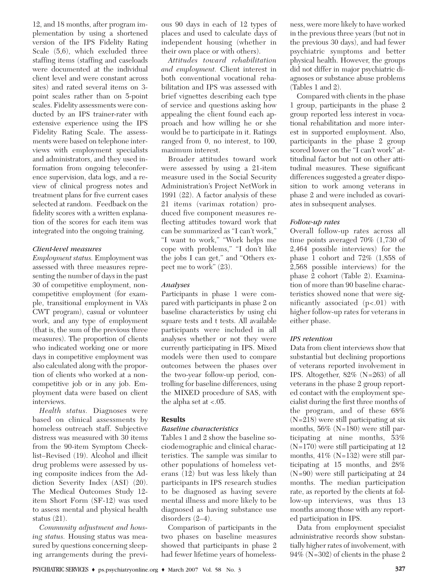12, and 18 months, after program implementation by using a shortened version of the IPS Fidelity Rating Scale (5,6), which excluded three staffing items (staffing and caseloads were documented at the individual client level and were constant across sites) and rated several items on 3 point scales rather than on 5-point scales. Fidelity assessments were conducted by an IPS trainer-rater with extensive experience using the IPS Fidelity Rating Scale. The assessments were based on telephone interviews with employment specialists and administrators, and they used information from ongoing teleconference supervision, data logs, and a review of clinical progress notes and treatment plans for five current cases selected at random. Feedback on the fidelity scores with a written explanation of the scores for each item was integrated into the ongoing training.

## *Client-level measures*

*Employment status.* Employment was assessed with three measures representing the number of days in the past 30 of competitive employment, noncompetitive employment (for example, transitional employment in VA's CWT program), casual or volunteer work, and any type of employment (that is, the sum of the previous three measures). The proportion of clients who indicated working one or more days in competitive employment was also calculated along with the proportion of clients who worked at a noncompetitive job or in any job. Employment data were based on client interviews.

*Health status.* Diagnoses were based on clinical assessments by homeless outreach staff. Subjective distress was measured with 30 items from the 90-item Symptom Checklist–Revised (19). Alcohol and illicit drug problems were assessed by using composite indices from the Addiction Severity Index (ASI) (20). The Medical Outcomes Study 12 item Short Form (SF-12) was used to assess mental and physical health status (21).

*Community adjustment and housing status.* Housing status was measured by questions concerning sleeping arrangements during the previous 90 days in each of 12 types of places and used to calculate days of independent housing (whether in their own place or with others).

*Attitudes toward rehabilitation and employment.* Client interest in both conventional vocational rehabilitation and IPS was assessed with brief vignettes describing each type of service and questions asking how appealing the client found each approach and how willing he or she would be to participate in it. Ratings ranged from 0, no interest, to 100, maximum interest.

Broader attitudes toward work were assessed by using a 21-item measure used in the Social Security Administration's Project NetWork in 1991 (22). A factor analysis of these 21 items (varimax rotation) produced five component measures reflecting attitudes toward work that can be summarized as "I can't work," "I want to work," "Work helps me cope with problems," "I don't like the jobs I can get," and "Others expect me to work" (23).

#### *Analyses*

Participants in phase 1 were compared with participants in phase 2 on baseline characteristics by using chi square tests and t tests. All available participants were included in all analyses whether or not they were currently participating in IPS. Mixed models were then used to compare outcomes between the phases over the two-year follow-up period, controlling for baseline differences, using the MIXED procedure of SAS, with the alpha set at  $< .05$ .

## **Results**

## *Baseline characteristics*

Tables 1 and 2 show the baseline sociodemographic and clinical characteristics. The sample was similar to other populations of homeless veterans (12) but was less likely than participants in IPS research studies to be diagnosed as having severe mental illness and more likely to be diagnosed as having substance use disorders (2–4).

Comparison of participants in the two phases on baseline measures showed that participants in phase 2 had fewer lifetime years of homelessness, were more likely to have worked in the previous three years (but not in the previous 30 days), and had fewer psychiatric symptoms and better physical health. However, the groups did not differ in major psychiatric diagnoses or substance abuse problems (Tables 1 and 2).

Compared with clients in the phase 1 group, participants in the phase 2 group reported less interest in vocational rehabilitation and more interest in supported employment. Also, participants in the phase 2 group scored lower on the "I can't work" attitudinal factor but not on other attitudinal measures. These significant differences suggested a greater disposition to work among veterans in phase 2 and were included as covariates in subsequent analyses.

## *Follow-up rates*

Overall follow-up rates across all time points averaged 70% (1,730 of 2,464 possible interviews) for the phase 1 cohort and 72% (1,858 of 2,568 possible interviews) for the phase 2 cohort (Table 2). Examination of more than 90 baseline characteristics showed none that were significantly associated  $(p<.01)$  with higher follow-up rates for veterans in either phase.

## *IPS retention*

Data from client interviews show that substantial but declining proportions of veterans reported involvement in IPS. Altogether, 82% (N=263) of all veterans in the phase 2 group reported contact with the employment specialist during the first three months of the program, and of these 68% (N=218) were still participating at six months, 56% (N=180) were still participating at nine months, 53% (N=170) were still participating at 12 months, 41% (N=132) were still participating at 15 months, and 28% (N=90) were still participating at 24 months. The median participation rate, as reported by the clients at follow-up interviews, was thus 13 months among those with any reported participation in IPS.

Data from employment specialist administrative records show substantially higher rates of involvement, with 94% (N=302) of clients in the phase 2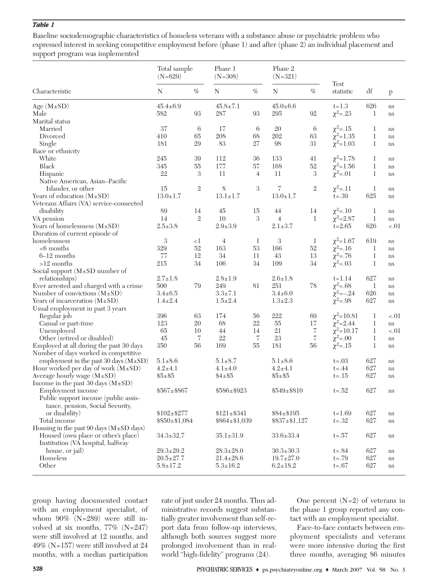#### *Table 1*

Baseline sociodemographic characteristics of homeless veterans with a substance abuse or psychiatric problem who expressed interest in seeking competitive employment before (phase 1) and after (phase 2) an individual placement and support program was implemented

|                                               | Total sample<br>$(N=629)$ |                | Phase 1<br>$(N=308)$ |                | Phase 2<br>$(N=321)$ |                |                   |             |        |
|-----------------------------------------------|---------------------------|----------------|----------------------|----------------|----------------------|----------------|-------------------|-------------|--------|
| Characteristic                                | N                         | $\%$           | N                    | %              | N                    | %              | Test<br>statistic | df          | p      |
| Age $(M \pm SD)$                              | $45.4 \pm 6.9$            |                | $45.8 \pm 7.1$       |                | $45.0 \pm 6.6$       |                | $t = 1.3$         | 626         | ns     |
| Male                                          | 582                       | 93             | 287                  | 93             | 295                  | 92             | $\chi^2 = .23$    | 1           | ns     |
| Marital status                                |                           |                |                      |                |                      |                |                   |             |        |
| Married                                       | 37                        | 6              | 17                   | 6              | 20                   | 6              | $\chi^2$ =.15     | 1           | ns     |
| Divorced                                      | 410                       | 65             | 208                  | 68             | 202                  | 63             | $\chi^2$ =1.35    | 1           | ns     |
| Single                                        | 181                       | 29             | 83                   | 27             | 98                   | 31             | $\chi^2$ =1.03    | 1           | ns     |
| Race or ethnicity                             |                           |                |                      |                |                      |                |                   |             |        |
| White                                         | 245                       | 39             | 112                  | 36             | 133                  | 41             | $\chi^2$ =1.78    | 1           | ns     |
| <b>Black</b>                                  | 345                       | 55             | 177                  | 57             | 168                  | 52             | $\chi^2$ =1.56    | 1           | ns     |
| Hispanic                                      | 22                        | 3              | 11                   | $\overline{4}$ | 11                   | 3              | $\chi^2$ =.01     | 1           | ns     |
| Native American, Asian-Pacific                |                           |                |                      |                |                      |                |                   |             |        |
| Islander, or other                            | 15                        | 2              | 8                    | 3              | 7                    | $\overline{2}$ | $\chi^2$ =.11     | 1           | ns     |
| Years of education $(M \pm SD)$               | $13.0 \pm 1.7$            |                | $13.1 \pm 1.7$       |                | $13.0 \pm 1.7$       |                | $t = .39$         | 625         | ns     |
| Veterans Affairs (VA) service-connected       |                           |                |                      |                |                      |                |                   |             |        |
| disability                                    | 89                        | 14             | 45                   | 15             | 44                   | 14             | $\chi^2$ =.10     | 1           | ns     |
| VA pension                                    | 14                        | $\mathfrak{2}$ | 10                   | 3              | $\overline{4}$       | 1              | $\chi^2 = 2.87$   | $\,1$       | ns     |
| Years of homelessness $(M \pm SD)$            | $2.5 \pm 3.8$             |                | $2.9 + 3.9$          |                | $2.1 \pm 3.7$        |                | $t = 2.65$        | 626         | $-.01$ |
| Duration of current episode of                |                           |                |                      |                |                      |                |                   |             |        |
| homelessness                                  | 3                         | <1             | $\overline{4}$       | 1              | 3                    | 1              | $\chi^2$ =1.67    | 619         | ns     |
| $<6$ months                                   | 329                       | 52             | 163                  | 53             | 166                  | 52             | $\chi^2$ =.16     | 1           | ns     |
| $6-12$ months                                 | 77                        | 12             | 34                   | 11             | 43                   | 13             | $\chi^2$ =.76     | $\mathbf 1$ | ns     |
| $>12$ months                                  | 215                       | 34             | 106                  | 34             | 109                  | 34             | $\chi^2$ =.03     | 1           | ns     |
| Social support $(M \pm SD$ number of          |                           |                |                      |                |                      |                |                   |             |        |
| relationships)                                | $2.7 \pm 1.8$             |                | $2.8 \pm 1.9$        |                | $2.6 \pm 1.8$        |                | $t = 1.14$        | 627         | ns     |
| Ever arrested and charged with a crime        | 500                       | 79             | 249                  | 81             | 251                  | 78             | $\chi^2 = .68$    | $\mathbf 1$ | ns     |
| Number of convictions $(M \pm SD)$            | $3.4 \pm 6.5$             |                | $3.3 \pm 7.1$        |                | $3.4 \pm 6.0$        |                | $\chi^2$ =-.24    | 626         | ns     |
| Years of incarceration $(M \pm SD)$           | $1.4 \pm 2.4$             |                | $1.5 \pm 2.4$        |                | $1.3 \pm 2.3$        |                | $\chi^2 = .98$    | 627         | ns     |
| Usual employment in past 3 years              |                           |                |                      |                |                      |                |                   |             |        |
| Regular job                                   | 396                       | 63             | 174                  | 56             | 222                  | 69             | $\chi^2 = 10.81$  | 1           | $-.01$ |
| Casual or part-time                           | 123                       | 20             | 68                   | 22             | 55                   | 17             | $\chi^2$ =2.44    | 1           | ns     |
| Unemployed                                    | 65                        | 10             | 44                   | 14             | 21                   | 7              | $\chi^2$ =10.17   | 1           | $-.01$ |
| Other (retired or disabled)                   | 45                        | 7              | 22                   | 7              | 23                   | $\overline{7}$ | $\chi^2$ =.00     | 1           | ns     |
| Employed at all during the past 30 days       | 350                       | 56             | 169                  | 55             | 181                  | 56             | $\chi^2$ =.15     | 1           | ns     |
| Number of days worked in competitive          |                           |                |                      |                |                      |                |                   |             |        |
| employment in the past 30 days $(M \pm SD)$   | $5.1 \pm 8.6$             |                | $5.1 \pm 8.7$        |                | $5.1 \pm 8.6$        |                | $t = .03$         | 627         | ns     |
| Hour worked per day of work $(M \pm SD)$      | $4.2 + 4.1$               |                | $4.1 \pm 4.0$        |                | $4.2 \pm 4.1$        |                | $t = .44$         | 627         | ns     |
| Average hourly wage $(M \pm SD)$              | $$5 \pm $5$               |                | $$4 \pm $5$          |                | $$5 \pm $5$          |                | $t = .15$         | 627         | ns     |
| Income in the past 30 days $(M \pm SD)$       |                           |                |                      |                |                      |                |                   |             |        |
| Employment income                             | $$567 \pm $867$           |                | $$586 \pm $923$      |                | $$549 \pm $810$      |                | $t = .52$         | 627         | ns     |
| Public support income (public assis-          |                           |                |                      |                |                      |                |                   |             |        |
| tance, pension, Social Security,              |                           |                |                      |                |                      |                |                   |             |        |
| or disability)                                | $$102 \pm $277$           |                | $$121 \pm $341$      |                | $$84 \pm $195$       |                | $t = 1.69$        | 627         | ns     |
| Total income                                  | $$850 \pm $1,084$         |                | $$864 \pm $1,039$    |                | $$837 \pm $1,127$    |                | $t = .32$         | 627         | ns     |
| Housing in the past 90 days $(M \pm SD$ days) |                           |                |                      |                |                      |                |                   |             |        |
| Housed (own place or other's place)           | $34.3 \pm 32.7$           |                | $35.1 \pm 31.9$      |                | $33.6 \pm 33.4$      |                | $t = .57$         | 627         |        |
| Institution (VA hospital, halfway             |                           |                |                      |                |                      |                |                   |             | ns     |
|                                               |                           |                |                      |                |                      |                |                   |             |        |
| house, or jail)                               | $29.3 \pm 29.2$           |                | $28.3 \pm 28.0$      |                | $30.3 \pm 30.3$      |                | $t = .84$         | 627         | ns     |
| Homeless                                      | $20.5 \pm 27.7$           |                | $21.4 \pm 28.6$      |                | $19.7 \pm 27.0$      |                | $t = .79$         | 627         | ns     |
| Other                                         | $5.8 \pm 17.2$            |                | $5.3 \pm 16.2$       |                | $6.2 \pm 18.2$       |                | $t = .67$         | 627         | ns     |

group having documented contact with an employment specialist, of whom 90% (N=289) were still involved at six months, 77% (N=247) were still involved at 12 months, and 49% (N=157) were still involved at 24 months, with a median participation rate of just under 24 months. Thus administrative records suggest substantially greater involvement than self-report data from follow-up interviews, although both sources suggest more prolonged involvement than in realworld "high-fidelity" programs (24).

One percent  $(N=2)$  of veterans in the phase 1 group reported any contact with an employment specialist.

Face-to-face contacts between employment specialists and veterans were more intensive during the first three months, averaging 86 minutes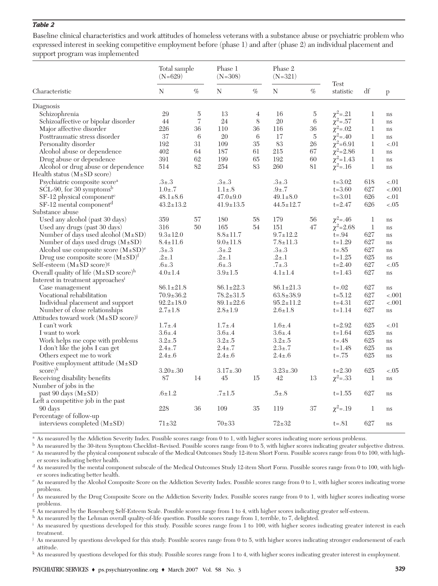#### *Table 2*

Baseline clinical characteristics and work attitudes of homeless veterans with a substance abuse or psychiatric problem who expressed interest in seeking competitive employment before (phase 1) and after (phase 2) an individual placement and support program was implemented

|                                                             | Total sample<br>$(N=629)$ |                | Phase 1<br>$(N = 308)$ |                 | Phase 2<br>$(N = 321)$ |      |                   |              |               |
|-------------------------------------------------------------|---------------------------|----------------|------------------------|-----------------|------------------------|------|-------------------|--------------|---------------|
| Characteristic                                              | N                         | $\%$           | N                      | $\%$            | N                      | $\%$ | Test<br>statistic | df           | p             |
| Diagnosis                                                   |                           |                |                        |                 |                        |      |                   |              |               |
| Schizophrenia                                               | 29                        | $\overline{5}$ | 13                     | 4               | 16                     | 5    | $\chi^2 = .21$    | $\mathbf 1$  | ns            |
| Schizoaffective or bipolar disorder                         | 44                        | $\overline{7}$ | 24                     | $8\,$           | 20                     | 6    | $\chi^2 = .57$    | $\mathbf 1$  | ns            |
| Major affective disorder                                    | 226                       | 36             | 110                    | 36              | 116                    | 36   | $\chi^2$ =.02     | $\mathbf 1$  | ns            |
| Posttraumatic stress disorder                               | 37                        | 6              | 20                     | $6\phantom{.}6$ | 17                     | 5    | $\chi^2 = .40$    | 1            | ns            |
| Personality disorder                                        | 192                       | $31\,$         | 109                    | 35              | 83                     | 26   | $\chi^2 = 6.91$   | $\mathbf 1$  | $-.01$        |
| Alcohol abuse or dependence                                 | 402                       | 64             | 187                    | 61              | 215                    | 67   | $\chi^2$ =2.86    | $\bf{l}$     | ns            |
| Drug abuse or dependence                                    | 391                       | 62             | 199                    | 65              | 192                    | 60   | $\chi^2$ =1.43    | $\mathbf{1}$ | $\mathrm{ns}$ |
| Alcohol or drug abuse or dependence                         | 514                       | 82             | 254                    | 83              | 260                    | 81   | $\chi^2$ =.16     | $\mathbf{1}$ | ns            |
| Health status $(M \pm SD$ score)                            |                           |                |                        |                 |                        |      |                   |              |               |
| Psychiatric composite score <sup>a</sup>                    | $.3 + .3$                 |                | $.3 + .3$              |                 | $.3 + .3$              |      | $t = 3.02$        | 618          | $-.01$        |
| SCL-90, for 30 symptoms <sup>b</sup>                        | $1.0{\pm}.7$              |                | $1.1 \pm .8$           |                 | $.9 + .7$              |      | $t = 3.60$        | 627          | $-.001$       |
| SF-12 physical component <sup>c</sup>                       | $48.1 \pm 8.6$            |                | $47.0 \pm 9.0$         |                 | $49.1 \pm 8.0$         |      | $t = 3.01$        | 626          | $-.01$        |
| SF-12 mental component <sup>d</sup>                         | $43.2 \pm 13.2$           |                | $41.9 \pm 13.5$        |                 | $44.5 \pm 12.7$        |      | $t = 2.47$        | 626          | $-.05$        |
| Substance abuse                                             |                           |                |                        |                 |                        |      |                   |              |               |
| Used any alcohol (past 30 days)                             | 359                       | 57             | 180                    | 58              | 179                    | 56   | $\chi^2 = .46$    | 1            | ns            |
| Used any drugs (past 30 days)                               | 316                       | 50             | 165                    | 54              | 151                    | 47   | $\chi^2$ =2.68    | $\,1$        | ns            |
| Number of days used alcohol $(M \pm SD)$                    | $9.3 \pm 12.0$            |                | $8.8 \pm 11.7$         |                 | $9.7 \pm 12.2$         |      | $t = .94$         | 627          | $\rm ns$      |
| Number of days used drugs $(M \pm SD)$                      | $8.4 \pm 11.6$            |                | $9.0 \pm 11.8$         |                 | $7.8 \pm 11.3$         |      | $t = 1.29$        | 627          | ns            |
| Alcohol use composite score $(M \pm SD)^e$                  | $.3 + .3$                 |                | $.3 + .2$              |                 | $.3 + .3$              |      | $t = .85$         | 627          | ns            |
| Drug use composite score $(M \pm SD)^f$                     | $.2 + .1$                 |                | $.2 + .1$              |                 | $.2 + .1$              |      | $t = 1.25$        | 625          | ns            |
| Self-esteem $(M \pm SD$ score) <sup>g</sup>                 | $.6{\pm}.3$               |                | $.6{\pm}.3$            |                 | $.7 + .3$              |      | $t = 2.40$        | 627          | $-.05$        |
| Overall quality of life $(M \pm SD \text{ score})^h$        | $4.0 \pm 1.4$             |                | $3.9 \pm 1.5$          |                 | $4.1 \pm 1.4$          |      | $t = 1.43$        | 627          | $\mathrm{ns}$ |
| Interest in treatment approaches <sup>i</sup>               |                           |                |                        |                 |                        |      |                   |              |               |
| Case management                                             | $86.1 \pm 21.8$           |                | $86.1 \pm 22.3$        |                 | $86.1 \pm 21.3$        |      | $t = .02$         | 627          | ns            |
| Vocational rehabilitation                                   | $70.9 \pm 36.2$           |                | $78.2 \pm 31.5$        |                 | $63.8 \pm 38.9$        |      | $t = 5.12$        | 627          | $-.001$       |
| Individual placement and support                            | $92.2 \pm 18.0$           |                | $89.1 \pm 22.6$        |                 | $95.2 \pm 11.2$        |      | $t = 4.31$        | 627          | $-.001$       |
| Number of close relationships                               | $2.7 \pm 1.8$             |                | $2.8 \pm 1.9$          |                 | $2.6 \pm 1.8$          |      | $t = 1.14$        | 627          | ns            |
| Attitudes toward work $(M \pm SD \text{ score})^{\text{J}}$ |                           |                |                        |                 |                        |      |                   |              |               |
| I can't work                                                | $1.7 \pm .4$              |                | $1.7 \pm .4$           |                 | $1.6{\pm}.4$           |      | $t = 2.92$        | 625          | $-.01$        |
| I want to work                                              | $3.6{\pm}.4$              |                | $3.6{\pm}.4$           |                 | $3.6{\pm}.4$           |      | $t = 1.64$        | 625          | $\mathrm{ns}$ |
| Work helps me cope with problems                            | $3.2 + .5$                |                | $3.2 \pm .5$           |                 | $3.2 + .5$             |      | $t = .48$         | 625          | ns            |
| I don't like the jobs I can get                             | $2.4 \pm .7$              |                | $2.4 \pm .7$           |                 | $2.3 \pm .7$           |      | $t = 1.48$        | 625          | ns            |
| Others expect me to work                                    | $2.4 \pm .6$              |                | $2.4 \pm .6$           |                 | $2.4 \pm .6$           |      | $t = .75$         | 625          | ns            |
| Positive employment attitude $(M \pm SD)$                   |                           |                |                        |                 |                        |      |                   |              |               |
| $score)^k$                                                  | $3.20 \pm .30$            |                | $3.17 \pm .30$         |                 | $3.23 \pm .30$         |      | $t = 2.30$        | 625          | $-.05$        |
| Receiving disability benefits                               | 87                        | 14             | 45                     | 15              | 42                     | 13   | $\chi^2$ =.33     | 1            | ns            |
| Number of jobs in the                                       |                           |                |                        |                 |                        |      |                   |              |               |
| past 90 days $(M \pm SD)$                                   | $.6 \pm 1.2$              |                | $.7 \pm 1.5$           |                 | $.5 + .8$              |      | $t = 1.55$        | 627          | ns            |
| Left a competitive job in the past                          |                           |                |                        |                 |                        |      |                   |              |               |
| 90 days                                                     | 228                       | 36             | 109                    | 35              | 119                    | 37   | $\chi^2$ =.19     | 1            | ns            |
| Percentage of follow-up                                     |                           |                |                        |                 |                        |      |                   |              |               |
| interviews completed $(M \pm SD)$                           | $71 + 32$                 |                | $70+33$                |                 | $72 + 32$              |      | $t = .81$         | 627          | ns            |

<sup>a</sup> As measured by the Addiction Severity Index. Possible scores range from 0 to 1, with higher scores indicating more serious problems.

<sup>b</sup> As measured by the 30-item Symptom Checklist–Revised. Possible scores range from 0 to 5, with higher scores indicating greater subjective distress. As measured by the physical component subscale of the Medical Outcomes Study 12-item Short Form. Possible scores range from 0 to 100, with higher scores indicating better health.

<sup>d</sup> As measured by the mental component subscale of the Medical Outcomes Study 12-item Short Form. Possible scores range from 0 to 100, with higher scores indicating better health.

<sup>e</sup> As measured by the Alcohol Composite Score on the Addiction Severity Index. Possible scores range from 0 to 1, with higher scores indicating worse problems.

f As measured by the Drug Composite Score on the Addiction Severity Index. Possible scores range from 0 to 1, with higher scores indicating worse problems.

<sup>g</sup> As measured by the Rosenberg Self-Esteem Scale. Possible scores range from 1 to 4, with higher scores indicating greater self-esteem.

h As measured by the Lehman overall quality-of-life question. Possible scores range from 1, terrible, to 7, delighted.

As measured by questions developed for this study. Possible scores range from 1 to 100, with higher scores indicating greater interest in each treatment.

<sup>j</sup> As measured by questions developed for this study. Possible scores range from 0 to 5, with higher scores indicating stronger endorsement of each attitude.

<sup>k</sup> As measured by questions developed for this study. Possible scores range from 1 to 4, with higher scores indicating greater interest in employment.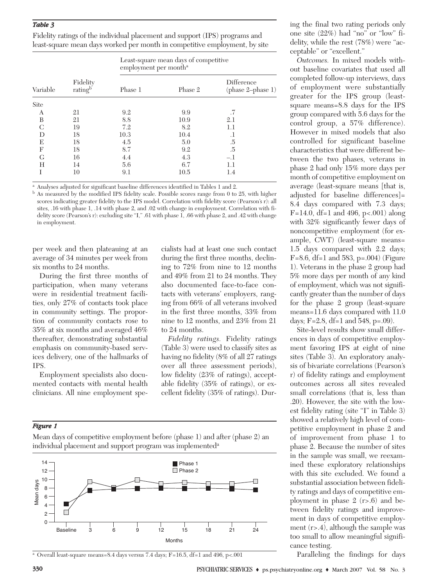#### *Table 3*

|  |  |  | Fidelity ratings of the individual placement and support (IPS) programs and |  |  |
|--|--|--|-----------------------------------------------------------------------------|--|--|
|  |  |  | least-square mean days worked per month in competitive employment, by site  |  |  |

|          |                                 | Least-square mean days of competitive<br>employment per month <sup>a</sup> |         |                                   |  |  |  |  |  |
|----------|---------------------------------|----------------------------------------------------------------------------|---------|-----------------------------------|--|--|--|--|--|
| Variable | Fidelity<br>rating <sup>b</sup> | Phase 1                                                                    | Phase 2 | Difference<br>$(phase 2-phase 1)$ |  |  |  |  |  |
| Site     |                                 |                                                                            |         |                                   |  |  |  |  |  |
| A        | 21                              | 9.2                                                                        | 9.9     | .7                                |  |  |  |  |  |
| B        | 21                              | 8.8                                                                        | 10.9    | 2.1                               |  |  |  |  |  |
| C        | 19                              | 7.2                                                                        | 8.2     | 1.1                               |  |  |  |  |  |
| D        | 18                              | 10.3                                                                       | 10.4    | $_{\cdot}$ 1                      |  |  |  |  |  |
| E        | 18                              | 4.5                                                                        | 5.0     | .5                                |  |  |  |  |  |
| F        | 18                              | 8.7                                                                        | 9.2     | .5                                |  |  |  |  |  |
| G        | 16                              | 4.4                                                                        | 4.3     | $-.1$                             |  |  |  |  |  |
| H        | 14                              | 5.6                                                                        | 6.7     | 1.1                               |  |  |  |  |  |
| T        | 10                              | 9.1                                                                        | 10.5    | 1.4                               |  |  |  |  |  |

<sup>a</sup> Analyses adjusted for significant baseline differences identified in Tables 1 and 2.

<sup>b</sup> As measured by the modified IPS fidelity scale. Possible scores range from 0 to 25, with higher scores indicating greater fidelity to the IPS model. Correlation with fidelity score (Pearson's r): all sites, .16 with phase 1, .14 with phase 2, and .02 with change in employment. Correlation with fidelity score (Pearson's r): excluding site "I," .61 with phase 1, .66 with phase 2, and .42 with change in employment.

per week and then plateauing at an average of 34 minutes per week from six months to 24 months.

During the first three months of participation, when many veterans were in residential treatment facilities, only 27% of contacts took place in community settings. The proportion of community contacts rose to 35% at six months and averaged 46% thereafter, demonstrating substantial emphasis on community-based services delivery, one of the hallmarks of IPS.

Employment specialists also documented contacts with mental health clinicians. All nine employment specialists had at least one such contact during the first three months, declining to 72% from nine to 12 months and 49% from 21 to 24 months. They also documented face-to-face contacts with veterans' employers, ranging from 66% of all veterans involved in the first three months, 33% from nine to 12 months, and 23% from 21 to 24 months.

*Fidelity ratings.* Fidelity ratings (Table 3) were used to classify sites as having no fidelity (8% of all 27 ratings over all three assessment periods), low fidelity (23% of ratings), acceptable fidelity (35% of ratings), or excellent fidelity (35% of ratings). Dur-

#### *Figure 1*

Mean days of competitive employment before (phase 1) and after (phase 2) an individual placement and support program was implementeda



<sup>a</sup> Overall least-square means=8.4 days versus 7.4 days; F=16.5, df=1 and 496, p<.001

ing the final two rating periods only one site (22%) had "no" or "low" fidelity, while the rest (78%) were "acceptable" or "excellent."

*Outcomes.* In mixed models without baseline covariates that used all completed follow-up interviews, days of employment were substantially greater for the IPS group (leastsquare means=8.8 days for the IPS group compared with 5.6 days for the control group, a 57% difference). However in mixed models that also controlled for significant baseline characteristics that were different between the two phases, veterans in phase 2 had only 15% more days per month of competitive employment on average (least-square means [that is, adjusted for baseline differences]= 8.4 days compared with 7.3 days; F=14.0, df=1 and 496, p<.001) along with 32% significantly fewer days of noncompetitive employment (for example, CWT) (least-square means= 1.5 days compared with 2.2 days; F=8.6, df=1 and 583, p=.004) (Figure 1). Veterans in the phase 2 group had 5% more days per month of any kind of employment, which was not significantly greater than the number of days for the phase 2 group (least-square means=11.6 days compared with 11.0 days;  $F=2.8$ , df=1 and 548, p=.09).

Site-level results show small differences in days of competitive employment favoring IPS at eight of nine sites (Table 3). An exploratory analysis of bivariate correlations (Pearson's r) of fidelity ratings and employment outcomes across all sites revealed small correlations (that is, less than .20). However, the site with the lowest fidelity rating (site "I" in Table 3) showed a relatively high level of competitive employment in phase 2 and of improvement from phase 1 to phase 2. Because the number of sites in the sample was small, we reexamined these exploratory relationships with this site excluded. We found a substantial association between fidelity ratings and days of competitive employment in phase 2 (r>.6) and between fidelity ratings and improvement in days of competitive employment  $(r>4)$ , although the sample was too small to allow meaningful significance testing.

Paralleling the findings for days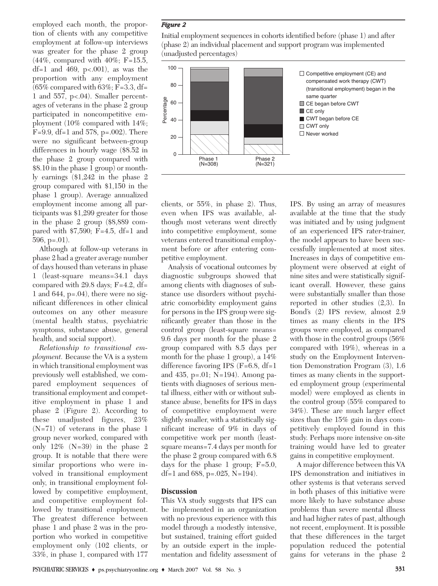employed each month, the proportion of clients with any competitive employment at follow-up interviews was greater for the phase 2 group (44%, compared with 40%; F=15.5, df=1 and 469,  $p<0.001$ ), as was the proportion with any employment  $(65\%$  compared with  $63\%;$  F=3.3, df= 1 and 557, p<.04). Smaller percentages of veterans in the phase 2 group participated in noncompetitive employment (10% compared with 14%; F=9.9, df=1 and 578, p=.002). There were no significant between-group differences in hourly wage (\$8.52 in the phase 2 group compared with \$8.10 in the phase 1 group) or monthly earnings (\$1,242 in the phase 2 group compared with \$1,150 in the phase 1 group). Average annualized employment income among all participants was \$1,299 greater for those in the phase 2 group (\$8,889 compared with \$7,590; F=4.5, df=1 and 596, p=.01).

Although at follow-up veterans in phase 2 had a greater average number of days housed than veterans in phase 1 (least-square means=34.1 days compared with 29.8 days; F=4.2, df= 1 and 644,  $p=.04$ ), there were no significant differences in other clinical outcomes on any other measure (mental health status, psychiatric symptoms, substance abuse, general health, and social support).

*Relationship to transitional employment.* Because the VA is a system in which transitional employment was previously well established, we compared employment sequences of transitional employment and competitive employment in phase 1 and phase 2 (Figure 2). According to these unadjusted figures, 23% (N=71) of veterans in the phase 1 group never worked, compared with only 12% (N=39) in the phase 2 group. It is notable that there were similar proportions who were involved in transitional employment only, in transitional employment followed by competitive employment, and competitive employment followed by transitional employment. The greatest difference between phase 1 and phase 2 was in the proportion who worked in competitive employment only (102 clients, or 33%, in phase 1, compared with 177

#### *Figure 2*

Initial employment sequences in cohorts identified before (phase 1) and after (phase 2) an individual placement and support program was implemented (unadjusted percentages)



clients, or 55%, in phase 2). Thus, even when IPS was available, although most veterans went directly into competitive employment, some veterans entered transitional employment before or after entering competitive employment.

Analysis of vocational outcomes by diagnostic subgroups showed that among clients with diagnoses of substance use disorders without psychiatric comorbidity employment gains for persons in the IPS group were significantly greater than those in the control group (least-square means= 9.6 days per month for the phase 2 group compared with 8.5 days per month for the phase 1 group), a 14% difference favoring IPS  $(F=6.8, df=1$ and 435, p=.01; N=194). Among patients with diagnoses of serious mental illness, either with or without substance abuse, benefits for IPS in days of competitive employment were slightly smaller, with a statistically significant increase of 9% in days of competitive work per month (leastsquare means=7.4 days per month for the phase 2 group compared with 6.8 days for the phase 1 group; F=5.0, df=1 and 688, p= $.025$ , N=194).

#### **Discussion**

This VA study suggests that IPS can be implemented in an organization with no previous experience with this model through a modestly intensive, but sustained, training effort guided by an outside expert in the implementation and fidelity assessment of

IPS. By using an array of measures available at the time that the study was initiated and by using judgment of an experienced IPS rater-trainer, the model appears to have been successfully implemented at most sites. Increases in days of competitive employment were observed at eight of nine sites and were statistically significant overall. However, these gains were substantially smaller than those reported in other studies (2,3). In Bond's (2) IPS review, almost 2.9 times as many clients in the IPS groups were employed, as compared with those in the control groups (56% compared with 19%), whereas in a study on the Employment Intervention Demonstration Program (3), 1.6 times as many clients in the supported employment group (experimental model) were employed as clients in the control group (55% compared to 34%). These are much larger effect sizes than the 15% gain in days competitively employed found in this study. Perhaps more intensive on-site training would have led to greater gains in competitive employment.

A major difference between this VA IPS demonstration and initiatives in other systems is that veterans served in both phases of this initiative were more likely to have substance abuse problems than severe mental illness and had higher rates of past, although not recent, employment. It is possible that these differences in the target population reduced the potential gains for veterans in the phase 2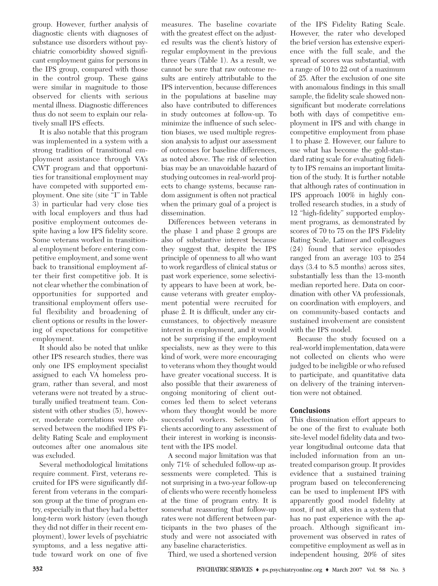group. However, further analysis of diagnostic clients with diagnoses of substance use disorders without psychiatric comorbidity showed significant employment gains for persons in the IPS group, compared with those in the control group. These gains were similar in magnitude to those observed for clients with serious mental illness. Diagnostic differences thus do not seem to explain our relatively small IPS effects.

It is also notable that this program was implemented in a system with a strong tradition of transitional employment assistance through VA's CWT program and that opportunities for transitional employment may have competed with supported employment. One site (site "I" in Table 3) in particular had very close ties with local employers and thus had positive employment outcomes despite having a low IPS fidelity score. Some veterans worked in transitional employment before entering competitive employment, and some went back to transitional employment after their first competitive job. It is not clear whether the combination of opportunities for supported and transitional employment offers useful flexibility and broadening of client options or results in the lowering of expectations for competitive employment.

It should also be noted that unlike other IPS research studies, there was only one IPS employment specialist assigned to each VA homeless program, rather than several, and most veterans were not treated by a structurally unified treatment team. Consistent with other studies (5), however, moderate correlations were observed between the modified IPS Fidelity Rating Scale and employment outcomes after one anomalous site was excluded.

Several methodological limitations require comment. First, veterans recruited for IPS were significantly different from veterans in the comparison group at the time of program entry, especially in that they had a better long-term work history (even though they did not differ in their recent employment), lower levels of psychiatric symptoms, and a less negative attitude toward work on one of five measures. The baseline covariate with the greatest effect on the adjusted results was the client's history of regular employment in the previous three years (Table 1). As a result, we cannot be sure that raw outcome results are entirely attributable to the IPS intervention, because differences in the populations at baseline may also have contributed to differences in study outcomes at follow-up. To minimize the influence of such selection biases, we used multiple regression analysis to adjust our assessment of outcomes for baseline differences, as noted above. The risk of selection bias may be an unavoidable hazard of studying outcomes in real-world projects to change systems, because random assignment is often not practical when the primary goal of a project is dissemination.

Differences between veterans in the phase 1 and phase 2 groups are also of substantive interest because they suggest that, despite the IPS principle of openness to all who want to work regardless of clinical status or past work experience, some selectivity appears to have been at work, because veterans with greater employment potential were recruited for phase 2. It is difficult, under any circumstances, to objectively measure interest in employment, and it would not be surprising if the employment specialists, new as they were to this kind of work, were more encouraging to veterans whom they thought would have greater vocational success. It is also possible that their awareness of ongoing monitoring of client outcomes led them to select veterans whom they thought would be more successful workers. Selection of clients according to any assessment of their interest in working is inconsistent with the IPS model.

A second major limitation was that only 71% of scheduled follow-up assessments were completed. This is not surprising in a two-year follow-up of clients who were recently homeless at the time of program entry. It is somewhat reassuring that follow-up rates were not different between participants in the two phases of the study and were not associated with any baseline characteristics.

Third, we used a shortened version

of the IPS Fidelity Rating Scale. However, the rater who developed the brief version has extensive experience with the full scale, and the spread of scores was substantial, with a range of 10 to 22 out of a maximum of 25. After the exclusion of one site with anomalous findings in this small sample, the fidelity scale showed nonsignificant but moderate correlations both with days of competitive employment in IPS and with change in competitive employment from phase 1 to phase 2. However, our failure to use what has become the gold-standard rating scale for evaluating fidelity to IPS remains an important limitation of the study. It is further notable that although rates of continuation in IPS approach 100% in highly controlled research studies, in a study of 12 "high-fidelity" supported employment programs, as demonstrated by scores of 70 to 75 on the IPS Fidelity Rating Scale, Latimer and colleagues (24) found that service episodes ranged from an average 103 to 254 days (3.4 to 8.5 months) across sites, substantially less than the 13-month median reported here. Data on coordination with other VA professionals, on coordination with employers, and on community-based contacts and sustained involvement are consistent with the IPS model.

Because the study focused on a real-world implementation, data were not collected on clients who were judged to be ineligible or who refused to participate, and quantitative data on delivery of the training intervention were not obtained.

# **Conclusions**

This dissemination effort appears to be one of the first to evaluate both site-level model fidelity data and twoyear longitudinal outcome data that included information from an untreated comparison group. It provides evidence that a sustained training program based on teleconferencing can be used to implement IPS with apparently good model fidelity at most, if not all, sites in a system that has no past experience with the approach. Although significant improvement was observed in rates of competitive employment as well as in independent housing, 20% of sites